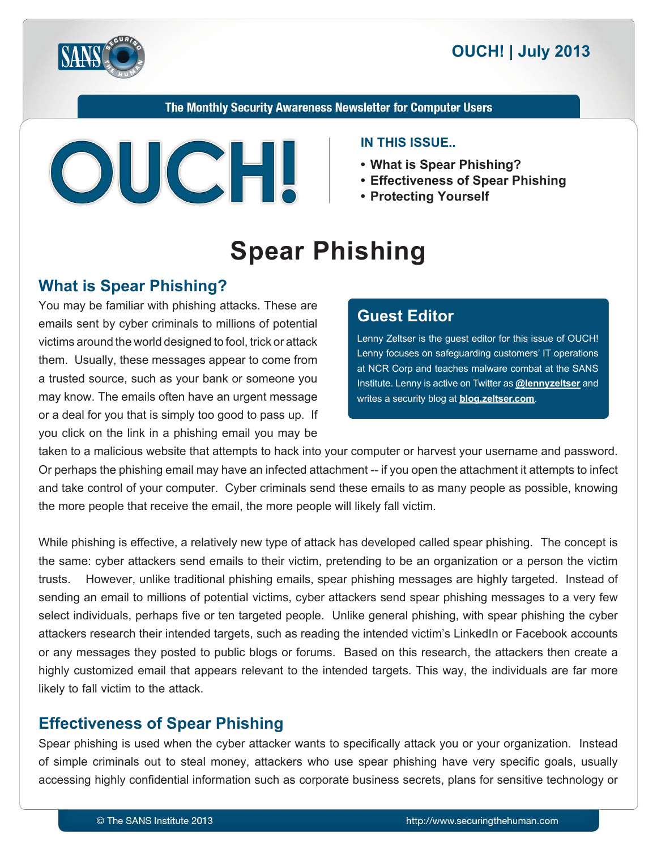

The Monthly Security Awareness Newsletter for Computer Users



#### **IN THIS ISSUE...**

- What is Spear Phishing?
- Effectiveness of Spear Phishing
- **Yourself Protecting•**

# **Spear Phishing**

## **What is Spear Phishing?**

You may be familiar with phishing attacks. These are emails sent by cyber criminals to millions of potential victims around the world designed to fool, trick or attack them. Usually, these messages appear to come from a trusted source, such as your bank or someone you may know. The emails often have an urgent message. or a deal for you that is simply too good to pass up. If you click on the link in a phishing email you may be

## **Editor Guest**

Lenny Zeltser is the guest editor for this issue of OUCH! Lenny focuses on safeguarding customers' IT operations at NCR Corp and teaches malware combat at the SANS Institute. Lenny is active on Twitter as **@lennyzeltser** and writes a security blog at **blog zeltser.com**.

taken to a malicious website that attempts to hack into your computer or harvest your username and password. Or perhaps the phishing email may have an infected attachment -- if you open the attachment it attempts to infect and take control of your computer. Cyber criminals send these emails to as many people as possible, knowing the more people that receive the email, the more people will likely fall victim.

While phishing is effective, a relatively new type of attack has developed called spear phishing. The concept is the same: cyber attackers send emails to their victim, pretending to be an organization or a person the victim trusts. However, unlike traditional phishing emails, spear phishing messages are highly targeted. Instead of sending an email to millions of potential victims, cyber attackers send spear phishing messages to a very few select individuals, perhaps five or ten targeted people. Unlike general phishing, with spear phishing the cyber attackers research their intended targets, such as reading the intended victim's LinkedIn or Facebook accounts or any messages they posted to public blogs or forums. Based on this research, the attackers then create a highly customized email that appears relevant to the intended targets. This way, the individuals are far more likely to fall victim to the attack.

## **Effectiveness of Spear Phishing**

Spear phishing is used when the cyber attacker wants to specifically attack you or your organization. Instead of simple criminals out to steal money, attackers who use spear phishing have very specific goals, usually accessing highly confidential information such as corporate business secrets, plans for sensitive technology or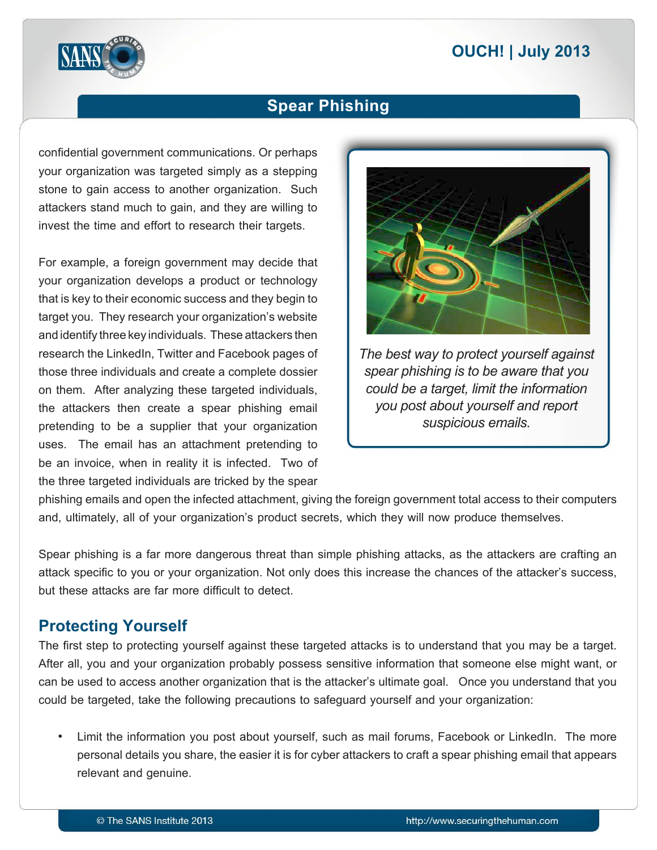

## **Spear Phishing**

confidential government communications. Or perhaps your organization was targeted simply as a stepping stone to gain access to another organization. Such attackers stand much to gain, and they are willing to invest the time and effort to research their targets.

For example, a foreign government may decide that your organization develops a product or technology that is key to their economic success and they begin to target you. They research your organization's website and identify three key individuals. These attackers then research the LinkedIn, Twitter and Facebook pages of those three individuals and create a complete dossier on them. After analyzing these targeted individuals, the attackers then create a spear phishing email pretending to be a supplier that your organization uses. The email has an attachment pretending to be an invoice, when in reality it is infected. Two of the three targeted individuals are tricked by the spear



*The best way to protect yourself against spear phishing is to be aware that you could be a target, limit the information you post about yourself and report* suspicious emails.

phishing emails and open the infected attachment, giving the foreign government total access to their computers and, ultimately, all of your organization's product secrets, which they will now produce themselves.

Spear phishing is a far more dangerous threat than simple phishing attacks, as the attackers are crafting an attack specific to you or your organization. Not only does this increase the chances of the attacker's success, but these attacks are far more difficult to detect.

#### **Protecting Yourself**

The first step to protecting yourself against these targeted attacks is to understand that you may be a target. After all, you and your organization probably possess sensitive information that someone else might want, or can be used to access another organization that is the attacker's ultimate goal. Once you understand that you could be targeted, take the following precautions to safeguard yourself and your organization:

Limit the information you post about yourself, such as mail forums, Facebook or LinkedIn. The more personal details you share, the easier it is for cyber attackers to craft a spear phishing email that appears relevant and genuine.